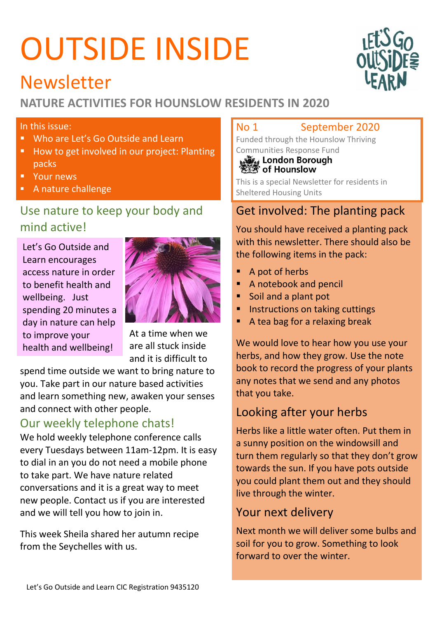# OUTSIDE INSIDE



## Newsletter

## **NATURE ACTIVITIES FOR HOUNSLOW RESIDENTS IN 2020**

### In this issue:

- **Who are Let's Go Outside and Learn**
- How to get involved in our project: Planting packs
- **Your news**
- A nature challenge

## Use nature to keep your body and mind active!

Let's Go Outside and Learn encourages access nature in order to benefit health and wellbeing. Just spending 20 minutes a day in nature can help to improve your health and wellbeing!



At a time when we are all stuck inside and it is difficult to

spend time outside we want to bring nature to you. Take part in our nature based activities and learn something new, awaken your senses and connect with other people.

## Our weekly telephone chats!

We hold weekly telephone conference calls every Tuesdays between 11am-12pm. It is easy to dial in an you do not need a mobile phone to take part. We have nature related conversations and it is a great way to meet new people. Contact us if you are interested and we will tell you how to join in.

This week Sheila shared her autumn recipe from the Seychelles with us.

### No 1 September 2020

Funded through the Hounslow Thriving

# Communities Response Fund<br>  $\frac{1}{2}$  London Borough

This is a special Newsletter for residents in Sheltered Housing Units

## Get involved: The planting pack

You should have received a planting pack with this newsletter. There should also be the following items in the pack:

- A pot of herbs
- A notebook and pencil
- **Soil and a plant pot**
- **Instructions on taking cuttings**
- A tea bag for a relaxing break

We would love to hear how you use your herbs, and how they grow. Use the note book to record the progress of your plants any notes that we send and any photos that you take.

## Looking after your herbs

Herbs like a little water often. Put them in a sunny position on the windowsill and turn them regularly so that they don't grow towards the sun. If you have pots outside you could plant them out and they should live through the winter.

## Your next delivery

Next month we will deliver some bulbs and soil for you to grow. Something to look forward to over the winter.